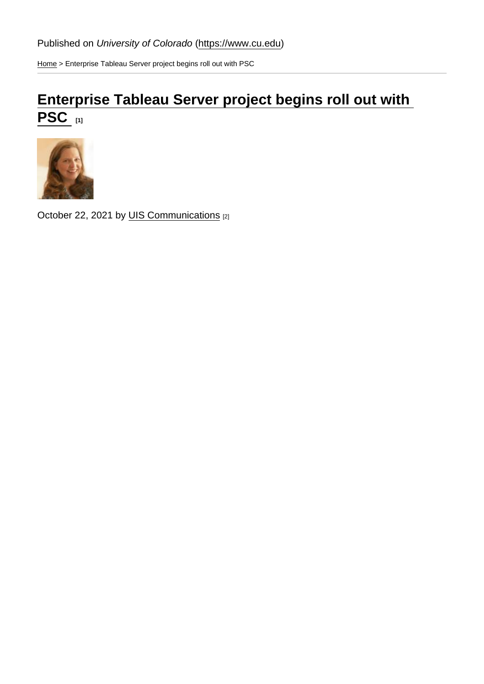[Home](https://www.cu.edu/) > Enterprise Tableau Server project begins roll out with PSC

## [Enterprise Tableau Server project begins roll out with](https://www.cu.edu/blog/uis-news/enterprise-tableau-server-project-begins-roll-out-psc)   $\overline{\text{PSC}}$   $_{[1]}$

October 22, 2021 by [UIS Communications](https://www.cu.edu/blog/uis-news/author/65709) [2]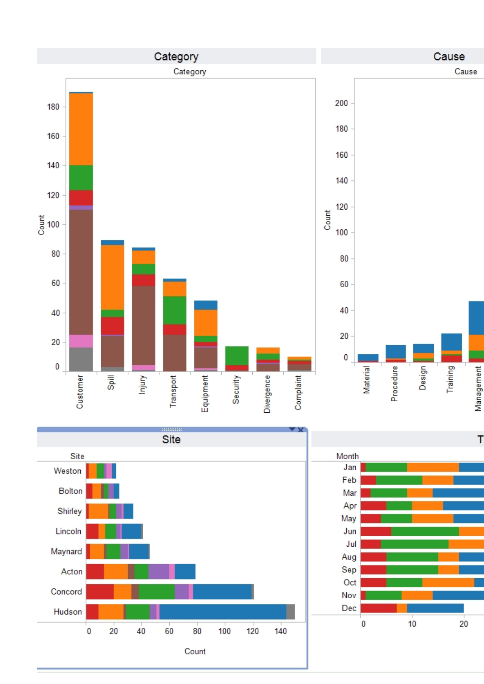